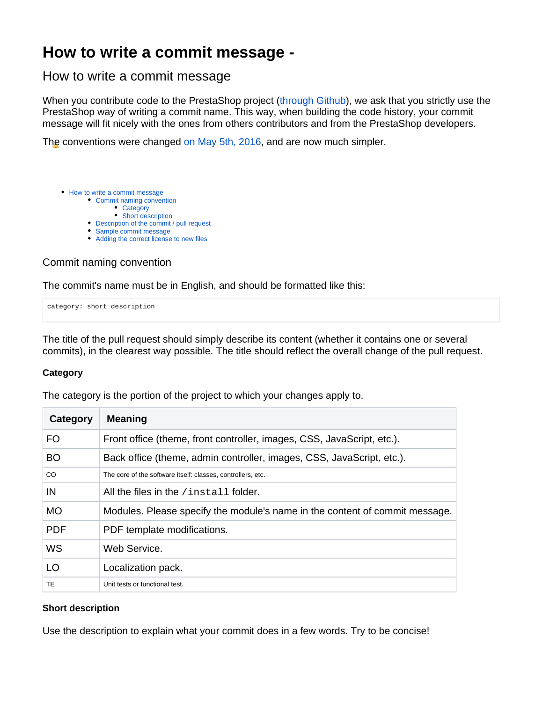# **How to write a commit message -**

# <span id="page-0-0"></span>How to write a commit message

When you contribute code to the PrestaShop project ([through Github](https://github.com/PrestaShop/PrestaShop/)), we ask that you strictly use the PrestaShop way of writing a commit name. This way, when building the code history, your commit message will fit nicely with the ones from others contributors and from the PrestaShop developers.

The conventions were changed [on May 5th, 2016](http://build.prestashop.com/news/prestashop-coding-standards/), and are now much simpler.

- [How to write a commit message](#page-0-0)
	- [Commit naming convention](#page-0-1)
		- **[Category](#page-0-2)**
	- [Short description](#page-0-3) [Description of the commit / pull request](#page-1-0)
	- [Sample commit message](#page-1-1)
	- [Adding the correct license to new files](#page-1-2)

# <span id="page-0-1"></span>Commit naming convention

The commit's name must be in English, and should be formatted like this:

category: short description

The title of the pull request should simply describe its content (whether it contains one or several commits), in the clearest way possible. The title should reflect the overall change of the pull request.

## <span id="page-0-2"></span>**Category**

The category is the portion of the project to which your changes apply to.

| Category   | <b>Meaning</b>                                                              |
|------------|-----------------------------------------------------------------------------|
| <b>FO</b>  | Front office (theme, front controller, images, CSS, JavaScript, etc.).      |
| <b>BO</b>  | Back office (theme, admin controller, images, CSS, JavaScript, etc.).       |
| CO.        | The core of the software itself: classes, controllers, etc.                 |
| IN         | All the files in the /install folder.                                       |
| <b>MO</b>  | Modules. Please specify the module's name in the content of commit message. |
| <b>PDF</b> | PDF template modifications.                                                 |
| <b>WS</b>  | Web Service.                                                                |
| LO         | Localization pack.                                                          |
| <b>TE</b>  | Unit tests or functional test.                                              |

## <span id="page-0-3"></span>**Short description**

Use the description to explain what your commit does in a few words. Try to be concise!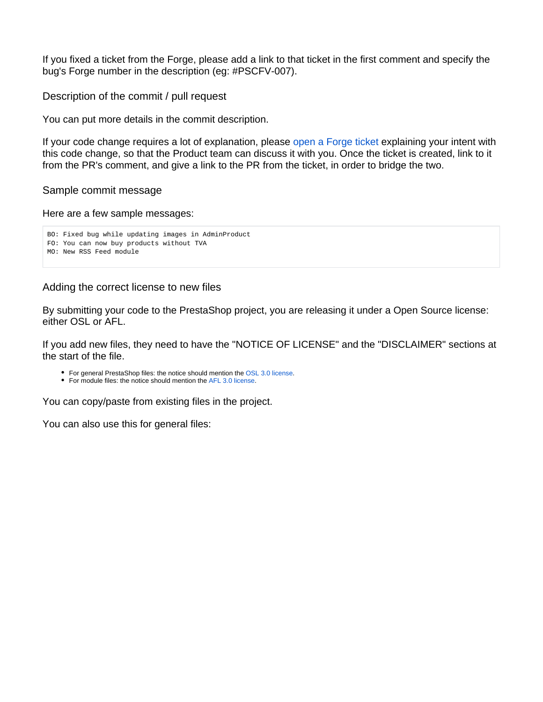If you fixed a ticket from the Forge, please add a link to that ticket in the first comment and specify the bug's Forge number in the description (eg: #PSCFV-007).

<span id="page-1-0"></span>Description of the commit / pull request

You can put more details in the commit description.

If your code change requires a lot of explanation, please [open a Forge ticket](http://forge.prestashop.com/) explaining your intent with this code change, so that the Product team can discuss it with you. Once the ticket is created, link to it from the PR's comment, and give a link to the PR from the ticket, in order to bridge the two.

#### <span id="page-1-1"></span>Sample commit message

Here are a few sample messages:

```
BO: Fixed bug while updating images in AdminProduct
FO: You can now buy products without TVA
MO: New RSS Feed module
```
#### <span id="page-1-2"></span>Adding the correct license to new files

By submitting your code to the PrestaShop project, you are releasing it under a Open Source license: either OSL or AFL.

If you add new files, they need to have the "NOTICE OF LICENSE" and the "DISCLAIMER" sections at the start of the file.

- For general PrestaShop files: the notice should mention the [OSL 3.0 license](http://opensource.org/licenses/OSL-3.0).
- For module files: the notice should mention the [AFL 3.0 license](http://opensource.org/licenses/AFL-3.0).

You can copy/paste from existing files in the project.

You can also use this for general files: